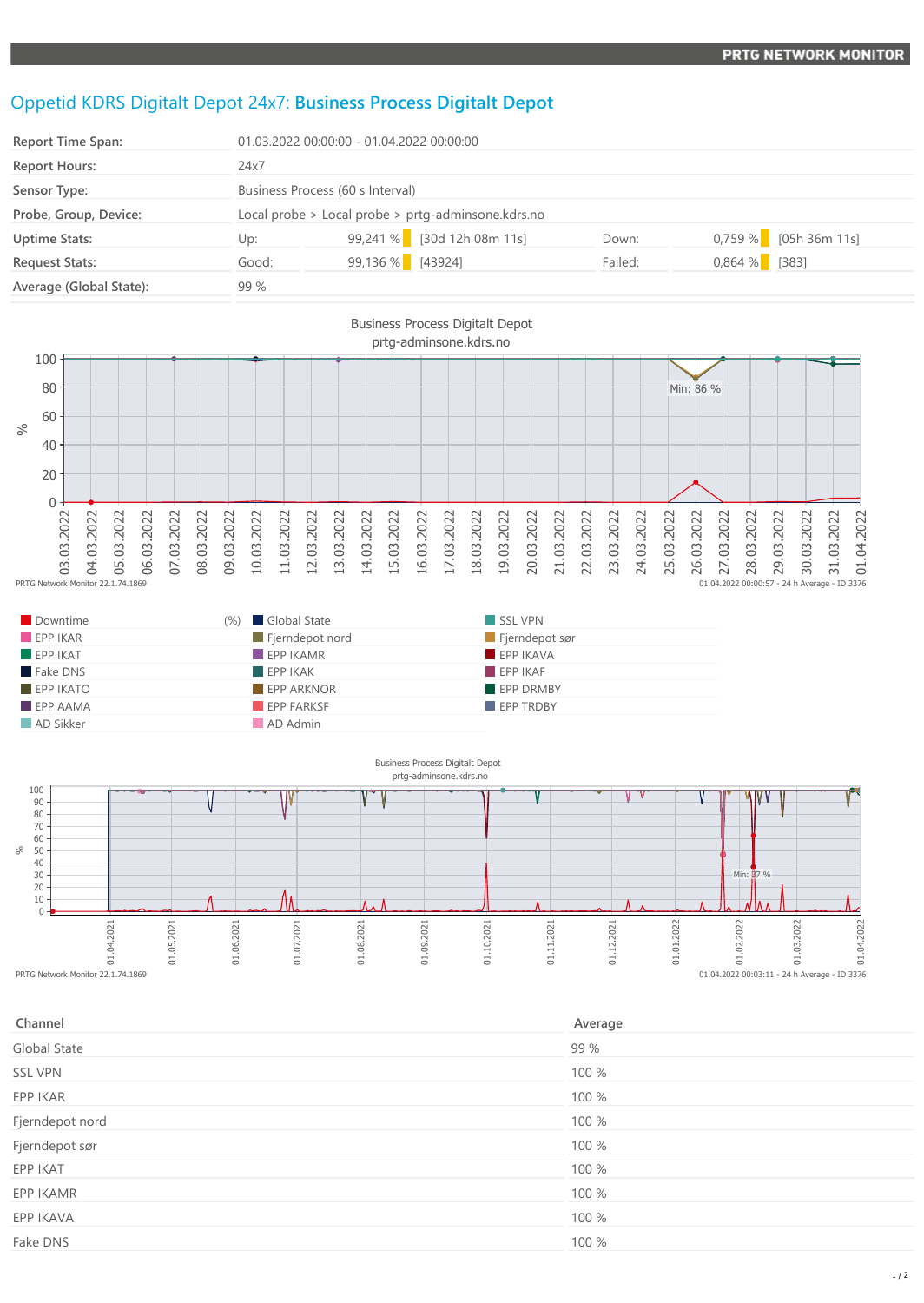## Oppetid KDRS Digitalt Depot 24x7: **Business Process Digitalt Depot**

| <b>Report Time Span:</b> | 01.03.2022 00:00:00 - 01.04.2022 00:00:00          |                  |                            |         |                         |  |
|--------------------------|----------------------------------------------------|------------------|----------------------------|---------|-------------------------|--|
| <b>Report Hours:</b>     | 24x7                                               |                  |                            |         |                         |  |
| Sensor Type:             | Business Process (60 s Interval)                   |                  |                            |         |                         |  |
| Probe, Group, Device:    | Local probe > Local probe > prtg-adminsone.kdrs.no |                  |                            |         |                         |  |
| <b>Uptime Stats:</b>     | Up:                                                |                  | 99,241 % [30d 12h 08m 11s] | Down:   | $0,759\%$ [05h 36m 11s] |  |
| <b>Request Stats:</b>    | Good:                                              | 99,136 % [43924] |                            | Failed: | $0,864%$ [383]          |  |
| Average (Global State):  | 99 %                                               |                  |                            |         |                         |  |



| Downtime                | Global State<br>(9/0)    | SSL VPN          |
|-------------------------|--------------------------|------------------|
| EPPIKAR                 | Fjerndepot nord          | Fjerndepot sør   |
| $EPP$ IKAT              | $\blacksquare$ EPP IKAMR | FPPIKAVA         |
| Fake DNS                | EPPIKAK                  | FPPIKAF          |
| $EPP$ IKATO             | <b>EPP ARKNOR</b>        | <b>EPP DRMBY</b> |
| $\blacksquare$ EPP AAMA | <b>EPP FARKSF</b>        | <b>EPP TRDBY</b> |
| AD Sikker               | AD Admin                 |                  |



| Channel         | Average |
|-----------------|---------|
| Global State    | 99 %    |
| <b>SSL VPN</b>  | 100 %   |
| EPP IKAR        | 100 %   |
| Fjerndepot nord | 100 %   |
| Fjerndepot sør  | 100 %   |
| EPP IKAT        | 100 %   |
| EPP IKAMR       | 100 %   |
| EPP IKAVA       | 100 %   |
| Fake DNS        | 100 %   |
|                 |         |